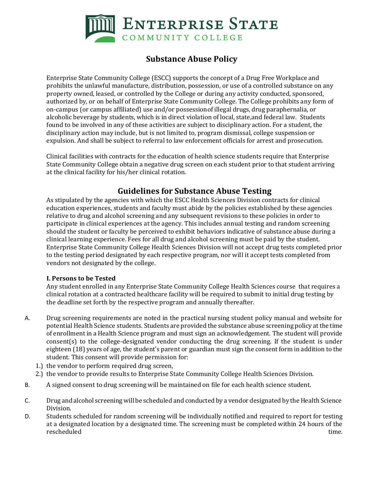

# **Substance Abuse Policy**

Enterprise State Community College (ESCC) supports the concept of a Drug Free Workplace and prohibits the unlawful manufacture, distribution, possession, or use of a controlled substance on any property owned, leased, or controlled by the College or during any activity conducted, sponsored, authorized by, or on behalf of Enterprise State Community College. The College prohibits any form of on-campus (or campus affiliated) use and/or possessionof illegal drugs, drug paraphernalia, or alcoholic beverage by students, which is in direct violation of local, state,and federal law. Students found to be involved in any of these activities are subject to disciplinary action. For a student, the disciplinary action may include, but is not limited to, program dismissal, college suspension or expulsion. And shall be subject to referral to law enforcement officials for arrest and prosecution.

Clinical facilities with contracts for the education of health science students require that Enterprise State Community College obtain a negative drug screen on each student prior to that student arriving at the clinical facility for his/her clinical rotation.

## **Guidelines for Substance Abuse Testing**

As stipulated by the agencies with which the ESCC Health Sciences Division contracts for clinical education experiences, students and faculty must abide by the policies established by these agencies relative to drug and alcohol screening and any subsequent revisions to these policies in order to participate in clinical experiences at the agency. This includes annual testing and random screening should the student or faculty be perceived to exhibit behaviors indicative of substance abuse during a clinical learning experience. Fees for all drug and alcohol screening must be paid by the student. Enterprise State Community College Health Sciences Division will not accept drug tests completed prior to the testing period designated by each respective program, nor will it accept tests completed from vendors not designated by the college.

### **I. Persons to be Tested**

Any student enrolled in any Enterprise State Community College Health Sciences course that requires a clinical rotation at a contracted healthcare facility will be required to submit to initial drug testing by the deadline set forth by the respective program and annually thereafter.

- A. Drug screening requirements are noted in the practical nursing student policy manual and website for potential Health Science students. Students are provided the substance abuse screening policy atthe time of enrollment in a Health Science program and must sign an acknowledgement. The student will provide consent(s) to the college-designated vendor conducting the drug screening. If the student is under eighteen (18) years of age, the student's parent or guardian must sign the consent form in addition to the student. This consent will provide permission for:
	- 1.) the vendor to perform required drug screen,
	- 2.) the vendor to provide results to Enterprise State Community College Health Sciences Division.
- B. A signed consent to drug screening will be maintained on file for each health science student.
- C. Drug and alcohol screening will be scheduled and conducted by a vendor designated by the Health Science Division.
- D. Students scheduled for random screening will be individually notified and required to report for testing at a designated location by a designated time. The screening must be completed within 24 hours of the rescheduled time.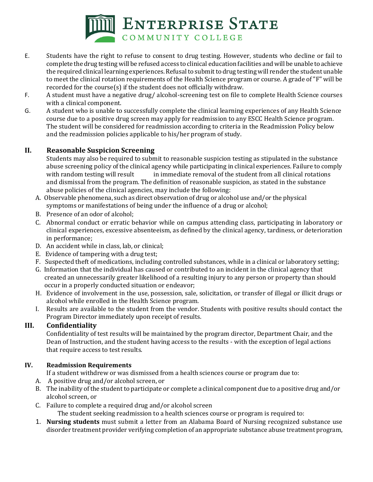

- E. Students have the right to refuse to consent to drug testing. However, students who decline or fail to complete the drug testing will be refused access to clinical education facilities andwill be unable toachieve the required clinical learning experiences. Refusal to submit to drug testing will render the student unable to meet the clinical rotation requirements of the Health Science program or course. A grade of "F" will be recorded for the course(s) if the student does not officially withdraw.
- F. A student must have a negative drug/ alcohol-screening test on file to complete Health Science courses with a clinical component.
- G. A student who is unable to successfully complete the clinical learning experiences of any Health Science course due to a positive drug screen may apply for readmission to any ESCC Health Science program. The student will be considered for readmission according to criteria in the Readmission Policy below and the readmission policies applicable to his/her program of study.

## **II. Reasonable Suspicion Screening**

Students may also be required to submit to reasonable suspicion testing as stipulated in the substance abuse screening policy of the clinical agency while participating in clinical experiences. Failure to comply with random testing will result in immediate removal of the student from all clinical rotations and dismissal from the program. The definition of reasonable suspicion, as stated in the substance abuse policies of the clinical agencies, may include the following:

- A. Observable phenomena, such as direct observation of drug or alcohol use and/or the physical symptoms or manifestations of being under the influence of a drug or alcohol;
- B. Presence of an odor of alcohol;
- C. Abnormal conduct or erratic behavior while on campus attending class, participating in laboratory or clinical experiences, excessive absenteeism, as defined by the clinical agency, tardiness, or deterioration in performance;
- D. An accident while in class, lab, or clinical;
- E. Evidence of tampering with a drug test;
- F. Suspected theft of medications, including controlled substances, while in a clinical or laboratory setting;
- G. Information that the individual has caused or contributed to an incident in the clinical agency that created an unnecessarily greater likelihood of a resulting injury to any person or property than should occur in a properly conducted situation or endeavor;
- H. Evidence of involvement in the use, possession, sale, solicitation, or transfer of illegal or illicit drugs or alcohol while enrolled in the Health Science program.
- I. Results are available to the student from the vendor. Students with positive results should contact the Program Director immediately upon receipt of results.

## **III. Confidentiality**

Confidentiality of test results will be maintained by the program director, Department Chair, and the Dean of Instruction, and the student having access to the results - with the exception of legal actions that require access to test results.

### **IV. Readmission Requirements**

If a student withdrew or was dismissed from a health sciences course or program due to:

- A. A positive drug and/or alcohol screen, or
- B. The inability of the student to participate or complete a clinical component due to a positive drug and/or alcohol screen, or
- C. Failure to complete a required drug and/or alcohol screen

The student seeking readmission to a health sciences course or program is required to:

1. **Nursing students** must submit a letter from an Alabama Board of Nursing recognized substance use disorder treatment provider verifying completion of an appropriate substance abuse treatment program,